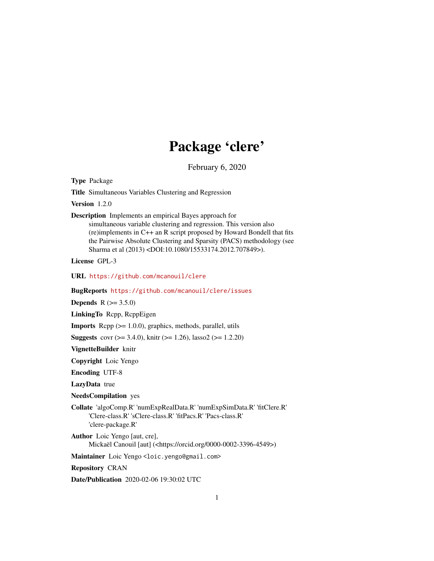## Package 'clere'

February 6, 2020

<span id="page-0-0"></span>Type Package

Title Simultaneous Variables Clustering and Regression

Version 1.2.0

Description Implements an empirical Bayes approach for simultaneous variable clustering and regression. This version also (re)implements in C++ an R script proposed by Howard Bondell that fits the Pairwise Absolute Clustering and Sparsity (PACS) methodology (see Sharma et al (2013) <DOI:10.1080/15533174.2012.707849>).

License GPL-3

URL <https://github.com/mcanouil/clere>

BugReports <https://github.com/mcanouil/clere/issues>

**Depends**  $R (= 3.5.0)$ 

LinkingTo Rcpp, RcppEigen

Imports Rcpp (>= 1.0.0), graphics, methods, parallel, utils

**Suggests** covr ( $>= 3.4.0$ ), knitr ( $>= 1.26$ ), lasso2 ( $>= 1.2.20$ )

VignetteBuilder knitr

Copyright Loic Yengo

Encoding UTF-8

LazyData true

NeedsCompilation yes

Collate 'algoComp.R' 'numExpRealData.R' 'numExpSimData.R' 'fitClere.R' 'Clere-class.R' 'sClere-class.R' 'fitPacs.R' 'Pacs-class.R' 'clere-package.R'

Author Loic Yengo [aut, cre], Mickaël Canouil [aut] (<https://orcid.org/0000-0002-3396-4549>)

Maintainer Loic Yengo <loic.yengo@gmail.com>

Repository CRAN

Date/Publication 2020-02-06 19:30:02 UTC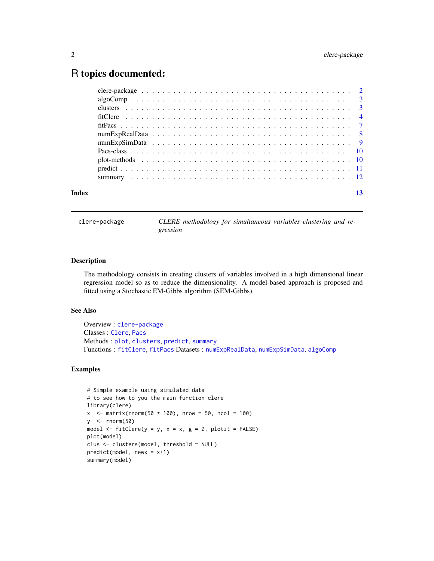## <span id="page-1-0"></span>R topics documented:

| $\text{algoComp}\dots\dots\dots\dots\dots\dots\dots\dots\dots\dots\dots\dots\dots\dots\dots$ |  |
|----------------------------------------------------------------------------------------------|--|
|                                                                                              |  |
|                                                                                              |  |
|                                                                                              |  |
|                                                                                              |  |
|                                                                                              |  |
|                                                                                              |  |
|                                                                                              |  |
|                                                                                              |  |
|                                                                                              |  |
|                                                                                              |  |

clere-package *CLERE methodology for simultaneous variables clustering and regression*

## <span id="page-1-2"></span>Description

The methodology consists in creating clusters of variables involved in a high dimensional linear regression model so as to reduce the dimensionality. A model-based approach is proposed and fitted using a Stochastic EM-Gibbs algorithm (SEM-Gibbs).

### See Also

Overview : [clere-package](#page-1-1) Classes : [Clere](#page-0-0), [Pacs](#page-9-1) Methods : [plot](#page-9-2), [clusters](#page-2-1), [predict](#page-10-1), [summary](#page-11-1) Functions : [fitClere](#page-3-1), [fitPacs](#page-6-1) Datasets : [numExpRealData](#page-7-1), [numExpSimData](#page-8-1), [algoComp](#page-2-2)

#### Examples

```
# Simple example using simulated data
# to see how to you the main function clere
library(clere)
x <- matrix(rnorm(50 * 100), nrow = 50, ncol = 100)
y <- rnorm(50)
model \le fitClere(y = y, x = x, g = 2, plotit = FALSE)
plot(model)
clus <- clusters(model, threshold = NULL)
predict(model, newx = x+1)
summary(model)
```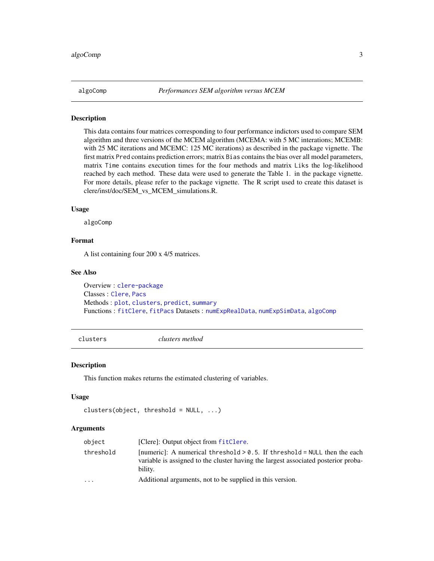<span id="page-2-2"></span><span id="page-2-0"></span>

#### **Description**

This data contains four matrices corresponding to four performance indictors used to compare SEM algorithm and three versions of the MCEM algorithm (MCEMA: with 5 MC interations; MCEMB: with 25 MC iterations and MCEMC: 125 MC iterations) as described in the package vignette. The first matrix Pred contains prediction errors; matrix Bias contains the bias over all model parameters, matrix Time contains execution times for the four methods and matrix Liks the log-likelihood reached by each method. These data were used to generate the Table 1. in the package vignette. For more details, please refer to the package vignette. The R script used to create this dataset is clere/inst/doc/SEM\_vs\_MCEM\_simulations.R.

#### Usage

algoComp

## Format

A list containing four 200 x 4/5 matrices.

## See Also

Overview : [clere-package](#page-1-1) Classes : [Clere](#page-0-0), [Pacs](#page-9-1) Methods : [plot](#page-9-2), [clusters](#page-2-1), [predict](#page-10-1), [summary](#page-11-1) Functions : [fitClere](#page-3-1), [fitPacs](#page-6-1) Datasets : [numExpRealData](#page-7-1), [numExpSimData](#page-8-1), [algoComp](#page-2-2)

<span id="page-2-1"></span>clusters *clusters method*

#### Description

This function makes returns the estimated clustering of variables.

#### Usage

```
clusters(object, threshold = NULL, ...)
```
## Arguments

| object    | [Clere]: Output object from fitClere.                                                                                                                                         |
|-----------|-------------------------------------------------------------------------------------------------------------------------------------------------------------------------------|
| threshold | [numeric]: A numerical threshold $> 0.5$ . If threshold = NULL then the each<br>variable is assigned to the cluster having the largest associated posterior proba-<br>bility. |
| .         | Additional arguments, not to be supplied in this version.                                                                                                                     |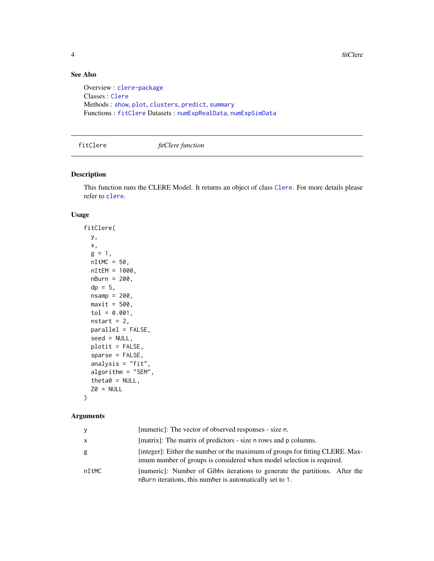4 fitClere

## See Also

```
Overview : clere-package
Classes : Clere
Methods : show, plot, clusters, predict, summary
Functions : fitClere Datasets : numExpRealData, numExpSimData
```
<span id="page-3-1"></span>fitClere *fitClere function*

## Description

This function runs the CLERE Model. It returns an object of class [Clere](#page-0-0). For more details please refer to [clere](#page-1-2).

## Usage

fitClere( y, x,  $g = 1$ ,  $nI$ tMC = 50, nItEM = 1000, nBurn = 200,  $dp = 5$ ,  $nsamp = 200,$  $maxit = 500$ ,  $tol = 0.001,$ nstart =  $2$ , parallel = FALSE, seed = NULL, plotit = FALSE, sparse = FALSE, analysis = "fit", algorithm = "SEM", theta $0 = NULL,$  $Z0 = NULL$ 

## Arguments

)

| y     | [numeric]: The vector of observed responses - size n.                                                                                                  |
|-------|--------------------------------------------------------------------------------------------------------------------------------------------------------|
| X     | [matrix]: The matrix of predictors - size n rows and p columns.                                                                                        |
| g     | [integer]: Either the number or the maximum of groups for fitting CLERE. Max-<br>imum number of groups is considered when model selection is required. |
| nItMC | [numeric]: Number of Gibbs iterations to generate the partitions. After the<br>nBurn iterations, this number is automatically set to 1.                |

<span id="page-3-0"></span>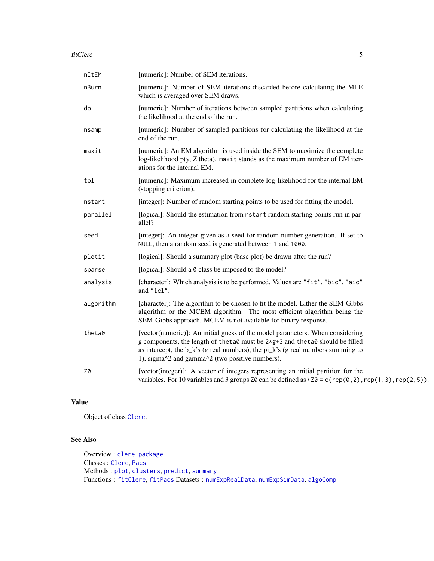#### <span id="page-4-0"></span>fitClere 5

| nItEM     | [numeric]: Number of SEM iterations.                                                                                                                                                                                                                                                                        |
|-----------|-------------------------------------------------------------------------------------------------------------------------------------------------------------------------------------------------------------------------------------------------------------------------------------------------------------|
| nBurn     | [numeric]: Number of SEM iterations discarded before calculating the MLE<br>which is averaged over SEM draws.                                                                                                                                                                                               |
| dp        | [numeric]: Number of iterations between sampled partitions when calculating<br>the likelihood at the end of the run.                                                                                                                                                                                        |
| nsamp     | [numeric]: Number of sampled partitions for calculating the likelihood at the<br>end of the run.                                                                                                                                                                                                            |
| maxit     | [numeric]: An EM algorithm is used inside the SEM to maximize the complete<br>$log$ -likelihood $p(y, Z)$ theta). maxit stands as the maximum number of EM iter-<br>ations for the internal EM.                                                                                                             |
| tol       | [numeric]: Maximum increased in complete log-likelihood for the internal EM<br>(stopping criterion).                                                                                                                                                                                                        |
| nstart    | [integer]: Number of random starting points to be used for fitting the model.                                                                                                                                                                                                                               |
| parallel  | [logical]: Should the estimation from nstart random starting points run in par-<br>allel?                                                                                                                                                                                                                   |
| seed      | [integer]: An integer given as a seed for random number generation. If set to<br>NULL, then a random seed is generated between 1 and 1000.                                                                                                                                                                  |
| plotit    | [logical]: Should a summary plot (base plot) be drawn after the run?                                                                                                                                                                                                                                        |
| sparse    | [logical]: Should a 0 class be imposed to the model?                                                                                                                                                                                                                                                        |
| analysis  | [character]: Which analysis is to be performed. Values are "fit", "bic", "aic"<br>and "icl".                                                                                                                                                                                                                |
| algorithm | [character]: The algorithm to be chosen to fit the model. Either the SEM-Gibbs<br>algorithm or the MCEM algorithm. The most efficient algorithm being the<br>SEM-Gibbs approach. MCEM is not available for binary response.                                                                                 |
| theta0    | [vector(numeric)]: An initial guess of the model parameters. When considering<br>g components, the length of the ta0 must be 2*g+3 and the ta0 should be filled<br>as intercept, the $b_k$ 's (g real numbers), the $pi_k$ 's (g real numbers summing to<br>1), sigma^2 and gamma^2 (two positive numbers). |
| Z0        | [vector(integer)]: A vector of integers representing an initial partition for the<br>variables. For 10 variables and 3 groups $Z\theta$ can be defined as $\Z\theta = c$ (rep(0,2), rep(1,3), rep(2,5)).                                                                                                    |

## Value

Object of class [Clere.](#page-0-0)

## See Also

Overview : [clere-package](#page-1-1) Classes : [Clere](#page-0-0), [Pacs](#page-9-1) Methods : [plot](#page-9-2), [clusters](#page-2-1), [predict](#page-10-1), [summary](#page-11-1) Functions : [fitClere](#page-3-1), [fitPacs](#page-6-1) Datasets : [numExpRealData](#page-7-1), [numExpSimData](#page-8-1), [algoComp](#page-2-2)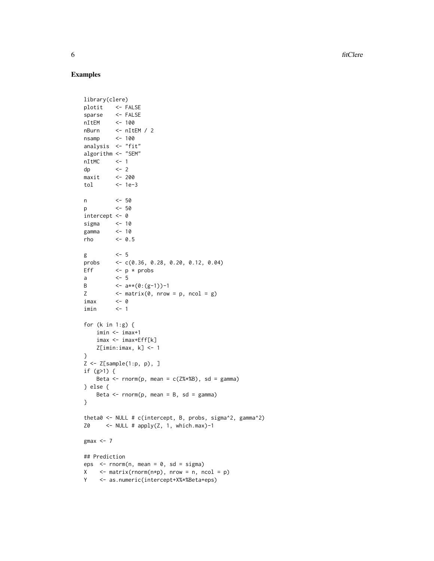**6** fitClere

## Examples

```
library(clere)
plotit <- FALSE
sparse <- FALSE
nItEM <- 100
nBurn <- nItEM / 2
nsamp <- 100
analysis <- "fit"
algorithm <- "SEM"
nItMC <- 1
dp <- 2
maxit <- 200
tol <- 1e-3
n <- 50
p <- 50
intercept <- 0
sigma <- 10
gamma <- 10
rho <- 0.5
g \leftarrow 5
probs <- c(0.36, 0.28, 0.20, 0.12, 0.04)
Eff \leftarrow p \star probs
a <- 5
B \leftarrow a**(0:(g-1))-1
Z \leftarrow \text{matrix}(\emptyset, \text{ nrow = p, ncol = g})imax <- 0
imin <- 1
for (k in 1:g) {
   imin <- imax+1
    imax <- imax+Eff[k]
   Z[imin:imax, k] <- 1
}
Z \leftarrow Z[sample(1:p, p), ]if (g>1) {
   Beta \le rnorm(p, mean = c(Z%*%B), sd = gamma)
} else {
   Beta \leq rnorm(p, mean = B, sd = gamma)
}
theta0 <- NULL # c(intercept, B, probs, sigma^2, gamma^2)
Z0 \leq \leq NULL # apply(Z, 1, which.max)-1
gmax <-7## Prediction
eps \le - rnorm(n, mean = 0, sd = sigma)
X \leq - matrix(rnorm(n*p), nrow = n, ncol = p)
Y <- as.numeric(intercept+X%*%Beta+eps)
```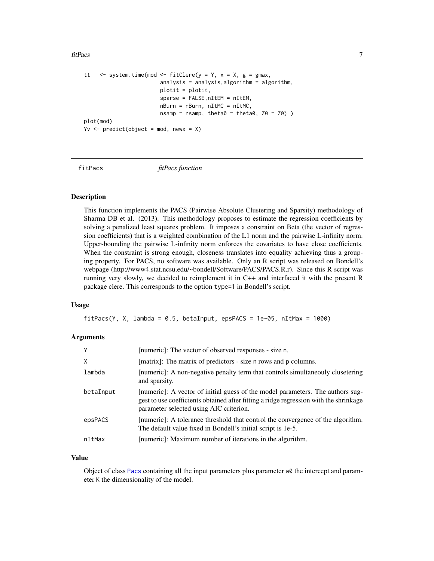#### <span id="page-6-0"></span>fitPacs 7

```
tt \leq system.time(mod \leq fitClere(y = Y, x = X, g = gmax,
                        analysis = analysis,algorithm = algorithm,
                        plotit = plotit,
                        sparse = FALSE,nItEM = nItEM,
                        nBurn = nBurn, nItMC = nItMC,
                        nsamp = nsamp, theta0 = theta0, Z0 = Z0)
plot(mod)
Yv \le predict(object = mod, newx = X)
```
<span id="page-6-1"></span>fitPacs *fitPacs function*

## Description

This function implements the PACS (Pairwise Absolute Clustering and Sparsity) methodology of Sharma DB et al. (2013). This methodology proposes to estimate the regression coefficients by solving a penalized least squares problem. It imposes a constraint on Beta (the vector of regression coefficients) that is a weighted combination of the L1 norm and the pairwise L-infinity norm. Upper-bounding the pairwise L-infinity norm enforces the covariates to have close coefficients. When the constraint is strong enough, closeness translates into equality achieving thus a grouping property. For PACS, no software was available. Only an R script was released on Bondell's webpage (http://www4.stat.ncsu.edu/~bondell/Software/PACS/PACS.R.r). Since this R script was running very slowly, we decided to reimplement it in C++ and interfaced it with the present R package clere. This corresponds to the option type=1 in Bondell's script.

#### Usage

 $fitPacs(Y, X, lambda = 0.5, betaInput, epsPACS = 1e-05, nItMax = 1000)$ 

## Arguments

| Y         | [numeric]: The vector of observed responses - size n.                                                                                                                                                              |
|-----------|--------------------------------------------------------------------------------------------------------------------------------------------------------------------------------------------------------------------|
| X         | [matrix]: The matrix of predictors - size n rows and p columns.                                                                                                                                                    |
| lambda    | [numeric]: A non-negative penalty term that controls simultaneouly clusetering<br>and sparsity.                                                                                                                    |
| betaInput | [numeric]: A vector of initial guess of the model parameters. The authors sug-<br>gest to use coefficients obtained after fitting a ridge regression with the shrinkage<br>parameter selected using AIC criterion. |
| epsPACS   | [numeric]: A tolerance threshold that control the convergence of the algorithm.<br>The default value fixed in Bondell's initial script is 1e-5.                                                                    |
| nItMax    | [numeric]: Maximum number of iterations in the algorithm.                                                                                                                                                          |

#### Value

Object of class [Pacs](#page-9-1) containing all the input parameters plus parameter a0 the intercept and parameter K the dimensionality of the model.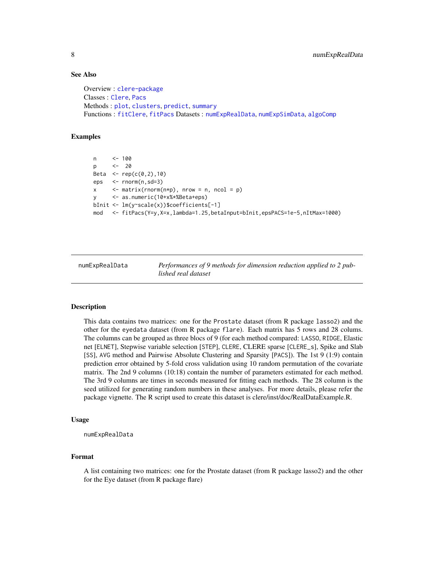## See Also

```
Overview : clere-package
Classes : Clere, Pacs
Methods : plot, clusters, predict, summary
Functions : fitClere, fitPacs Datasets : numExpRealData, numExpSimData, algoComp
```
## Examples

```
n <- 100
p <- 20
Beta \leq - rep(c(0, 2), 10)
eps <- rnorm(n,sd=3)
x \leq -\text{matrix}(r \cdot n), n \cdot \text{row} = n, n \cdot \text{col} = p)
y <- as.numeric(10+x%*%Beta+eps)
bInit <- lm(y~scale(x))$coefficients[-1]
mod <- fitPacs(Y=y,X=x,lambda=1.25,betaInput=bInit,epsPACS=1e-5,nItMax=1000)
```
<span id="page-7-1"></span>

numExpRealData *Performances of 9 methods for dimension reduction applied to 2 published real dataset*

#### Description

This data contains two matrices: one for the Prostate dataset (from R package lasso2) and the other for the eyedata dataset (from R package flare). Each matrix has 5 rows and 28 colums. The columns can be grouped as three blocs of 9 (for each method compared: LASSO, RIDGE, Elastic net [ELNET], Stepwise variable selection [STEP], CLERE, CLERE sparse [CLERE\_s], Spike and Slab [SS], AVG method and Pairwise Absolute Clustering and Sparsity [PACS]). The 1st 9 (1:9) contain prediction error obtained by 5-fold cross validation using 10 random permutation of the covariate matrix. The 2nd 9 columns (10:18) contain the number of parameters estimated for each method. The 3rd 9 columns are times in seconds measured for fitting each methods. The 28 column is the seed utilized for generating random numbers in these analyses. For more details, please refer the package vignette. The R script used to create this dataset is clere/inst/doc/RealDataExample.R.

## Usage

numExpRealData

## Format

A list containing two matrices: one for the Prostate dataset (from R package lasso2) and the other for the Eye dataset (from R package flare)

<span id="page-7-0"></span>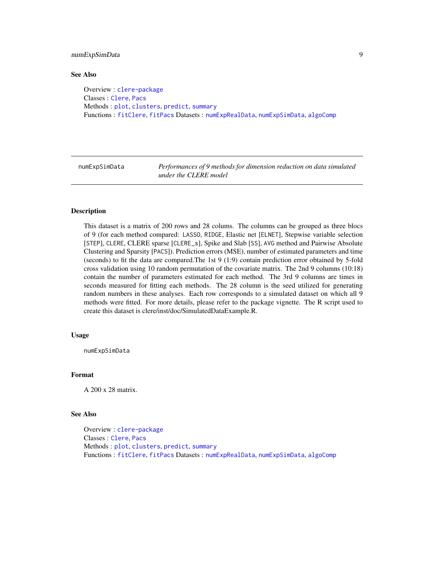## <span id="page-8-0"></span>numExpSimData 9

#### See Also

Overview : [clere-package](#page-1-1) Classes : [Clere](#page-0-0), [Pacs](#page-9-1) Methods : [plot](#page-9-2), [clusters](#page-2-1), [predict](#page-10-1), [summary](#page-11-1) Functions : [fitClere](#page-3-1), [fitPacs](#page-6-1) Datasets : [numExpRealData](#page-7-1), [numExpSimData](#page-8-1), [algoComp](#page-2-2)

<span id="page-8-1"></span>numExpSimData *Performances of 9 methods for dimension reduction on data simulated under the CLERE model*

## Description

This dataset is a matrix of 200 rows and 28 colums. The columns can be grouped as three blocs of 9 (for each method compared: LASSO, RIDGE, Elastic net [ELNET], Stepwise variable selection [STEP], CLERE, CLERE sparse [CLERE\_s], Spike and Slab [SS], AVG method and Pairwise Absolute Clustering and Sparsity [PACS]). Prediction errors (MSE), number of estimated parameters and time (seconds) to fit the data are compared.The 1st 9 (1:9) contain prediction error obtained by 5-fold cross validation using 10 random permutation of the covariate matrix. The 2nd 9 columns (10:18) contain the number of parameters estimated for each method. The 3rd 9 columns are times in seconds measured for fitting each methods. The 28 column is the seed utilized for generating random numbers in these analyses. Each row corresponds to a simulated dataset on which all 9 methods were fitted. For more details, please refer to the package vignette. The R script used to create this dataset is clere/inst/doc/SimulatedDataExample.R.

#### Usage

numExpSimData

## Format

A 200 x 28 matrix.

## See Also

Overview : [clere-package](#page-1-1) Classes : [Clere](#page-0-0), [Pacs](#page-9-1) Methods : [plot](#page-9-2), [clusters](#page-2-1), [predict](#page-10-1), [summary](#page-11-1) Functions : [fitClere](#page-3-1), [fitPacs](#page-6-1) Datasets : [numExpRealData](#page-7-1), [numExpSimData](#page-8-1), [algoComp](#page-2-2)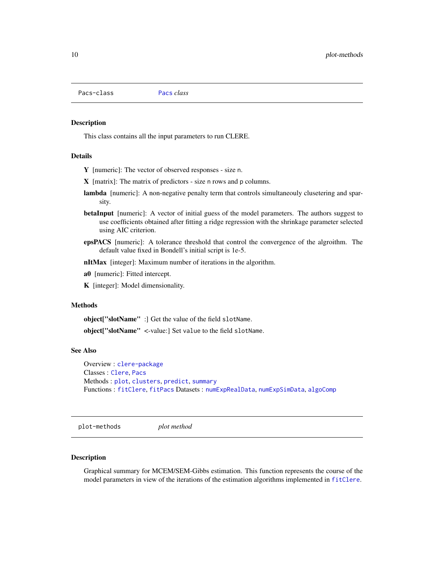<span id="page-9-1"></span><span id="page-9-0"></span>Pacs-class [Pacs](#page-9-1) *class*

#### Description

This class contains all the input parameters to run CLERE.

## Details

- Y [numeric]: The vector of observed responses size n.
- X [matrix]: The matrix of predictors size n rows and p columns.
- lambda [numeric]: A non-negative penalty term that controls simultaneouly clusetering and sparsity.
- betaInput [numeric]: A vector of initial guess of the model parameters. The authors suggest to use coefficients obtained after fitting a ridge regression with the shrinkage parameter selected using AIC criterion.
- epsPACS [numeric]: A tolerance threshold that control the convergence of the algroithm. The default value fixed in Bondell's initial script is 1e-5.
- nItMax [integer]: Maximum number of iterations in the algorithm.
- a0 [numeric]: Fitted intercept.
- K [integer]: Model dimensionality.

## Methods

object["slotName" :] Get the value of the field slotName.

object["slotName" <-value:] Set value to the field slotName.

## See Also

Overview : [clere-package](#page-1-1) Classes : [Clere](#page-0-0), [Pacs](#page-9-1) Methods : [plot](#page-9-2), [clusters](#page-2-1), [predict](#page-10-1), [summary](#page-11-1) Functions : [fitClere](#page-3-1), [fitPacs](#page-6-1) Datasets : [numExpRealData](#page-7-1), [numExpSimData](#page-8-1), [algoComp](#page-2-2)

plot-methods *plot method*

#### <span id="page-9-2"></span>Description

Graphical summary for MCEM/SEM-Gibbs estimation. This function represents the course of the model parameters in view of the iterations of the estimation algorithms implemented in [fitClere](#page-3-1).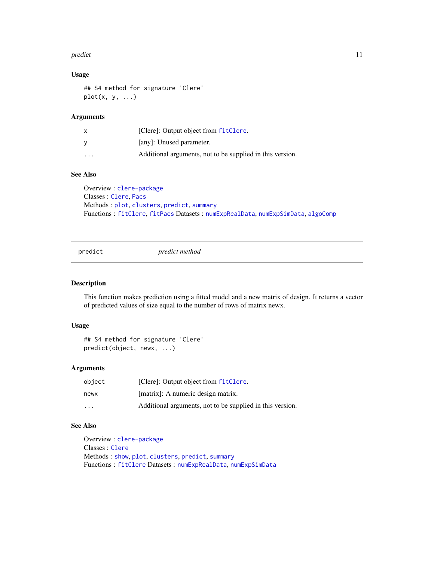#### <span id="page-10-0"></span>predict the contract of the contract of the contract of the contract of the contract of the contract of the contract of the contract of the contract of the contract of the contract of the contract of the contract of the co

## Usage

```
## S4 method for signature 'Clere'
plot(x, y, ...)
```
## Arguments

|          | [Clere]: Output object from fitClere.                     |
|----------|-----------------------------------------------------------|
|          | [any]: Unused parameter.                                  |
| $\cdots$ | Additional arguments, not to be supplied in this version. |

## See Also

Overview : [clere-package](#page-1-1) Classes : [Clere](#page-0-0), [Pacs](#page-9-1) Methods : [plot](#page-9-2), [clusters](#page-2-1), [predict](#page-10-1), [summary](#page-11-1) Functions : [fitClere](#page-3-1), [fitPacs](#page-6-1) Datasets : [numExpRealData](#page-7-1), [numExpSimData](#page-8-1), [algoComp](#page-2-2)

<span id="page-10-1"></span>predict *predict method*

## Description

This function makes prediction using a fitted model and a new matrix of design. It returns a vector of predicted values of size equal to the number of rows of matrix newx.

#### Usage

```
## S4 method for signature 'Clere'
predict(object, newx, ...)
```
## Arguments

| object  | [Clere]: Output object from fitClere.                     |
|---------|-----------------------------------------------------------|
| newx    | [matrix]: A numeric design matrix.                        |
| $\cdot$ | Additional arguments, not to be supplied in this version. |

## See Also

```
Overview : clere-package
Classes : Clere
Methods : show, plot, clusters, predict, summary
Functions : fitClere Datasets : numExpRealData, numExpSimData
```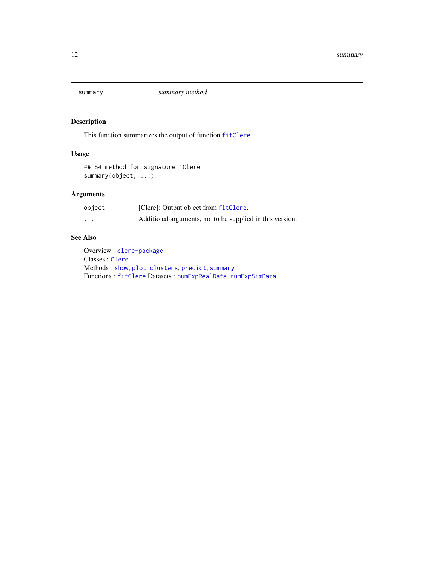<span id="page-11-1"></span><span id="page-11-0"></span>

## Description

This function summarizes the output of function [fitClere](#page-3-1).

## Usage

```
## S4 method for signature 'Clere'
summary(object, ...)
```
## Arguments

| object | [Clere]: Output object from fitClere.                     |
|--------|-----------------------------------------------------------|
| .      | Additional arguments, not to be supplied in this version. |

## See Also

Overview : [clere-package](#page-1-1) Classes : [Clere](#page-0-0) Methods : [show](#page-0-0), [plot](#page-9-2), [clusters](#page-2-1), [predict](#page-10-1), [summary](#page-11-1) Functions : [fitClere](#page-3-1) Datasets : [numExpRealData](#page-7-1), [numExpSimData](#page-8-1)